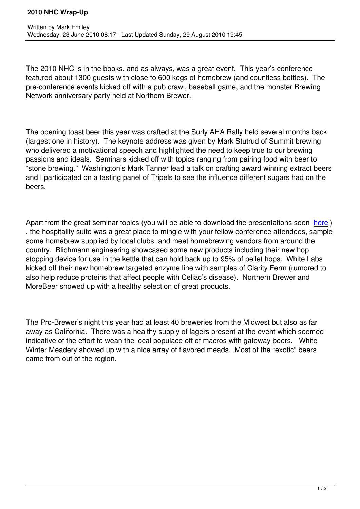The 2010 NHC is in the books, and as always, was a great event. This year's conference featured about 1300 guests with close to 600 kegs of homebrew (and countless bottles). The pre-conference events kicked off with a pub crawl, baseball game, and the monster Brewing Network anniversary party held at Northern Brewer.

The opening toast beer this year was crafted at the Surly AHA Rally held several months back (largest one in history). The keynote address was given by Mark Stutrud of Summit brewing who delivered a motivational speech and highlighted the need to keep true to our brewing passions and ideals. Seminars kicked off with topics ranging from pairing food with beer to "stone brewing." Washington's Mark Tanner lead a talk on crafting award winning extract beers and I participated on a tasting panel of Tripels to see the influence different sugars had on the beers.

Apart from the great seminar topics (you will be able to download the presentations soon here) , the hospitality suite was a great place to mingle with your fellow conference attendees, sample some homebrew supplied by local clubs, and meet homebrewing vendors from around the country. Blichmann engineering showcased some new products including their new hop stopping device for use in the kettle that can hold back up to 95% of pellet hops. White L[abs](http://www.ahaconference.org/speakerspresentation.html) kicked off their new homebrew targeted enzyme line with samples of Clarity Ferm (rumored to also help reduce proteins that affect people with Celiac's disease). Northern Brewer and MoreBeer showed up with a healthy selection of great products.

The Pro-Brewer's night this year had at least 40 breweries from the Midwest but also as far away as California. There was a healthy supply of lagers present at the event which seemed indicative of the effort to wean the local populace off of macros with gateway beers. White Winter Meadery showed up with a nice array of flavored meads. Most of the "exotic" beers came from out of the region.